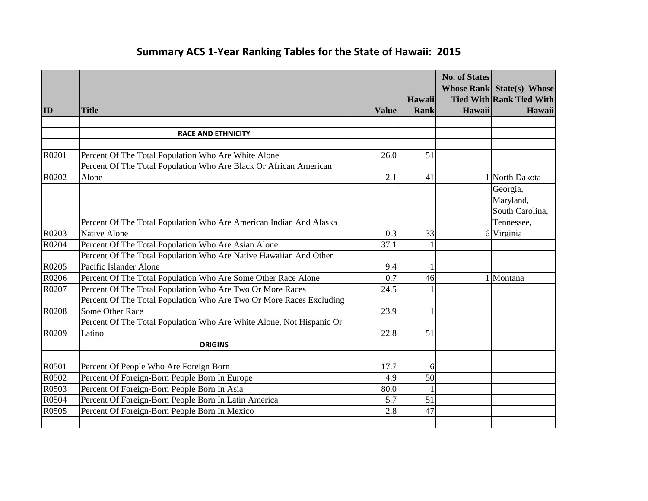## **Summary ACS 1‐Year Ranking Tables for the State of Hawaii: 2015**

|       |                                                                      |              |                       | <b>No. of States</b> | <b>Whose Rank State(s) Whose</b>          |
|-------|----------------------------------------------------------------------|--------------|-----------------------|----------------------|-------------------------------------------|
| ID    | <b>Title</b>                                                         | <b>Value</b> | Hawaii<br><b>Rank</b> | Hawaii               | <b>Tied With Rank Tied With</b><br>Hawaii |
|       |                                                                      |              |                       |                      |                                           |
|       | <b>RACE AND ETHNICITY</b>                                            |              |                       |                      |                                           |
|       |                                                                      |              |                       |                      |                                           |
| R0201 | Percent Of The Total Population Who Are White Alone                  | 26.0         | 51                    |                      |                                           |
|       | Percent Of The Total Population Who Are Black Or African American    |              |                       |                      |                                           |
| R0202 | Alone                                                                | 2.1          | 41                    |                      | 1 North Dakota                            |
|       |                                                                      |              |                       |                      | Georgia,                                  |
|       |                                                                      |              |                       |                      | Maryland,                                 |
|       |                                                                      |              |                       |                      | South Carolina,                           |
|       | Percent Of The Total Population Who Are American Indian And Alaska   |              |                       |                      | Tennessee,                                |
| R0203 | <b>Native Alone</b>                                                  | 0.3          | 33                    |                      | 6 Virginia                                |
| R0204 | Percent Of The Total Population Who Are Asian Alone                  | 37.1         | $\mathbf{1}$          |                      |                                           |
|       | Percent Of The Total Population Who Are Native Hawaiian And Other    |              |                       |                      |                                           |
| R0205 | Pacific Islander Alone                                               | 9.4          |                       |                      |                                           |
| R0206 | Percent Of The Total Population Who Are Some Other Race Alone        | 0.7          | 46                    |                      | Montana                                   |
| R0207 | Percent Of The Total Population Who Are Two Or More Races            | 24.5         |                       |                      |                                           |
|       | Percent Of The Total Population Who Are Two Or More Races Excluding  |              |                       |                      |                                           |
| R0208 | Some Other Race                                                      | 23.9         |                       |                      |                                           |
|       | Percent Of The Total Population Who Are White Alone, Not Hispanic Or |              |                       |                      |                                           |
| R0209 | Latino                                                               | 22.8         | 51                    |                      |                                           |
|       | <b>ORIGINS</b>                                                       |              |                       |                      |                                           |
|       |                                                                      |              |                       |                      |                                           |
| R0501 | Percent Of People Who Are Foreign Born                               | 17.7         | 6                     |                      |                                           |
| R0502 | Percent Of Foreign-Born People Born In Europe                        | 4.9          | 50                    |                      |                                           |
| R0503 | Percent Of Foreign-Born People Born In Asia                          | 80.0         |                       |                      |                                           |
| R0504 | Percent Of Foreign-Born People Born In Latin America                 | 5.7          | 51                    |                      |                                           |
| R0505 | Percent Of Foreign-Born People Born In Mexico                        | 2.8          | 47                    |                      |                                           |
|       |                                                                      |              |                       |                      |                                           |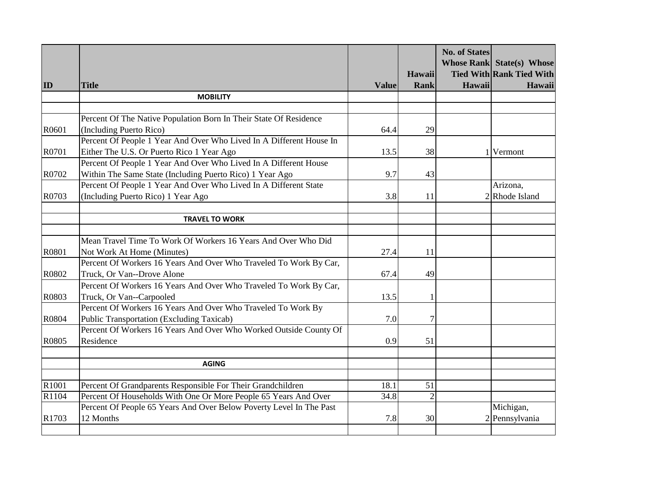|       |                                                                     |              |                | <b>No. of States</b> | <b>Whose Rank</b> State(s) Whose |
|-------|---------------------------------------------------------------------|--------------|----------------|----------------------|----------------------------------|
|       |                                                                     |              | Hawaii         |                      | <b>Tied With Rank Tied With</b>  |
| ID    | <b>Title</b>                                                        | <b>Value</b> | Rank           | Hawaii               | Hawaii                           |
|       | <b>MOBILITY</b>                                                     |              |                |                      |                                  |
|       |                                                                     |              |                |                      |                                  |
|       | Percent Of The Native Population Born In Their State Of Residence   |              |                |                      |                                  |
| R0601 | (Including Puerto Rico)                                             | 64.4         | 29             |                      |                                  |
|       | Percent Of People 1 Year And Over Who Lived In A Different House In |              |                |                      |                                  |
| R0701 | Either The U.S. Or Puerto Rico 1 Year Ago                           | 13.5         | 38             |                      | 1 Vermont                        |
|       | Percent Of People 1 Year And Over Who Lived In A Different House    |              |                |                      |                                  |
| R0702 | Within The Same State (Including Puerto Rico) 1 Year Ago            | 9.7          | 43             |                      |                                  |
|       | Percent Of People 1 Year And Over Who Lived In A Different State    |              |                |                      | Arizona,                         |
| R0703 | (Including Puerto Rico) 1 Year Ago                                  | 3.8          | 11             |                      | 2 Rhode Island                   |
|       |                                                                     |              |                |                      |                                  |
|       | <b>TRAVEL TO WORK</b>                                               |              |                |                      |                                  |
|       |                                                                     |              |                |                      |                                  |
|       | Mean Travel Time To Work Of Workers 16 Years And Over Who Did       |              |                |                      |                                  |
| R0801 | Not Work At Home (Minutes)                                          | 27.4         | 11             |                      |                                  |
|       | Percent Of Workers 16 Years And Over Who Traveled To Work By Car,   |              |                |                      |                                  |
| R0802 | Truck, Or Van--Drove Alone                                          | 67.4         | 49             |                      |                                  |
|       | Percent Of Workers 16 Years And Over Who Traveled To Work By Car,   |              |                |                      |                                  |
| R0803 | Truck, Or Van--Carpooled                                            | 13.5         | $\mathbf{1}$   |                      |                                  |
|       | Percent Of Workers 16 Years And Over Who Traveled To Work By        |              |                |                      |                                  |
| R0804 | Public Transportation (Excluding Taxicab)                           | 7.0          | 7              |                      |                                  |
|       | Percent Of Workers 16 Years And Over Who Worked Outside County Of   |              |                |                      |                                  |
| R0805 | Residence                                                           | 0.9          | 51             |                      |                                  |
|       |                                                                     |              |                |                      |                                  |
|       | <b>AGING</b>                                                        |              |                |                      |                                  |
|       |                                                                     |              |                |                      |                                  |
| R1001 | Percent Of Grandparents Responsible For Their Grandchildren         | 18.1         | 51             |                      |                                  |
| R1104 | Percent Of Households With One Or More People 65 Years And Over     | 34.8         | $\overline{2}$ |                      |                                  |
|       | Percent Of People 65 Years And Over Below Poverty Level In The Past |              |                |                      | Michigan,                        |
| R1703 | 12 Months                                                           | 7.8          | 30             |                      | 2 Pennsylvania                   |
|       |                                                                     |              |                |                      |                                  |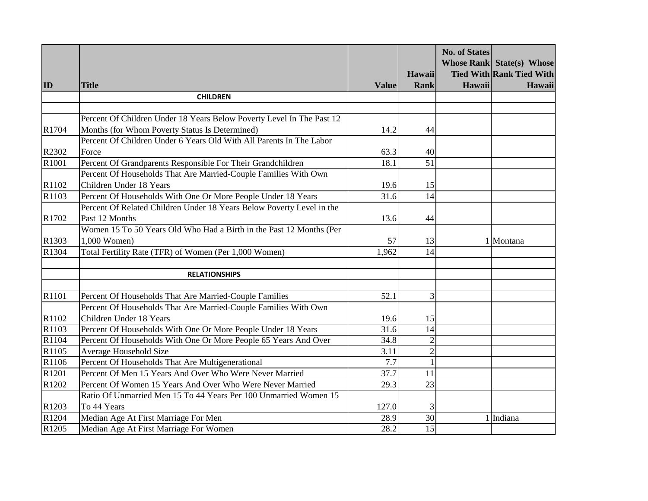|                   |                                                                       |              |                 | <b>No. of States</b> |                                  |
|-------------------|-----------------------------------------------------------------------|--------------|-----------------|----------------------|----------------------------------|
|                   |                                                                       |              |                 |                      | <b>Whose Rank State(s) Whose</b> |
|                   |                                                                       |              | <b>Hawaii</b>   |                      | <b>Tied With Rank Tied With</b>  |
| ID                | <b>Title</b>                                                          | <b>Value</b> | Rank            | Hawaii               | Hawaii                           |
|                   | <b>CHILDREN</b>                                                       |              |                 |                      |                                  |
|                   |                                                                       |              |                 |                      |                                  |
|                   | Percent Of Children Under 18 Years Below Poverty Level In The Past 12 |              |                 |                      |                                  |
| R1704             | Months (for Whom Poverty Status Is Determined)                        | 14.2         | 44              |                      |                                  |
|                   | Percent Of Children Under 6 Years Old With All Parents In The Labor   |              |                 |                      |                                  |
| R2302             | Force                                                                 | 63.3         | 40              |                      |                                  |
| R1001             | Percent Of Grandparents Responsible For Their Grandchildren           | 18.1         | $\overline{51}$ |                      |                                  |
|                   | Percent Of Households That Are Married-Couple Families With Own       |              |                 |                      |                                  |
| R1102             | Children Under 18 Years                                               | 19.6         | 15              |                      |                                  |
| R1103             | Percent Of Households With One Or More People Under 18 Years          | 31.6         | 14              |                      |                                  |
|                   | Percent Of Related Children Under 18 Years Below Poverty Level in the |              |                 |                      |                                  |
| R1702             | Past 12 Months                                                        | 13.6         | 44              |                      |                                  |
|                   | Women 15 To 50 Years Old Who Had a Birth in the Past 12 Months (Per   |              |                 |                      |                                  |
| R1303             | 1,000 Women)                                                          | 57           | 13              |                      | 1 Montana                        |
| R1304             | Total Fertility Rate (TFR) of Women (Per 1,000 Women)                 | 1,962        | 14              |                      |                                  |
|                   |                                                                       |              |                 |                      |                                  |
|                   | <b>RELATIONSHIPS</b>                                                  |              |                 |                      |                                  |
|                   |                                                                       |              |                 |                      |                                  |
| R1101             | Percent Of Households That Are Married-Couple Families                | 52.1         | 3               |                      |                                  |
|                   | Percent Of Households That Are Married-Couple Families With Own       |              |                 |                      |                                  |
| R1102             | Children Under 18 Years                                               | 19.6         | 15              |                      |                                  |
| R1103             | Percent Of Households With One Or More People Under 18 Years          | 31.6         | 14              |                      |                                  |
| R1104             | Percent Of Households With One Or More People 65 Years And Over       | 34.8         | $\overline{2}$  |                      |                                  |
| R1105             | Average Household Size                                                | 3.11         | $\overline{2}$  |                      |                                  |
| R <sub>1106</sub> | Percent Of Households That Are Multigenerational                      | 7.7          | $\mathbf{1}$    |                      |                                  |
| R1201             | Percent Of Men 15 Years And Over Who Were Never Married               | 37.7         | 11              |                      |                                  |
| R1202             | Percent Of Women 15 Years And Over Who Were Never Married             | 29.3         | 23              |                      |                                  |
|                   | Ratio Of Unmarried Men 15 To 44 Years Per 100 Unmarried Women 15      |              |                 |                      |                                  |
| R1203             | To 44 Years                                                           | 127.0        | 3               |                      |                                  |
| R1204             | Median Age At First Marriage For Men                                  | 28.9         | 30              |                      | 1 Indiana                        |
| R1205             | Median Age At First Marriage For Women                                | 28.2         | 15              |                      |                                  |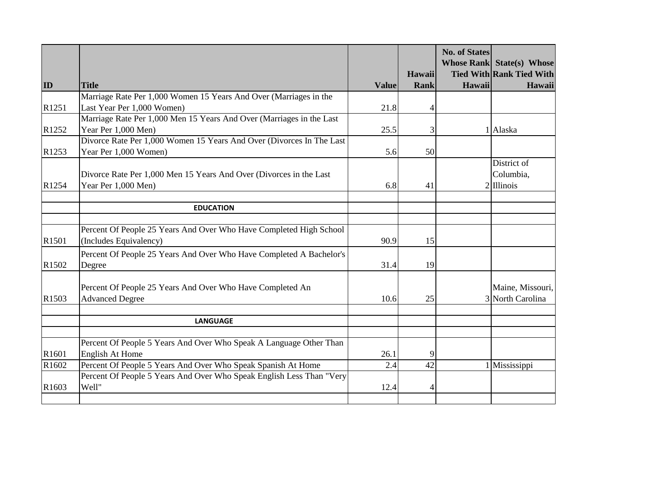|       |                                                                      |              |        | <b>No. of States</b> | <b>Whose Rank State(s) Whose</b> |
|-------|----------------------------------------------------------------------|--------------|--------|----------------------|----------------------------------|
|       |                                                                      |              | Hawaii |                      | <b>Tied With Rank Tied With</b>  |
| ID    | <b>Title</b>                                                         | <b>Value</b> | Rank   | Hawaii               | Hawaii                           |
|       | Marriage Rate Per 1,000 Women 15 Years And Over (Marriages in the    |              |        |                      |                                  |
| R1251 | Last Year Per 1,000 Women)                                           | 21.8         |        |                      |                                  |
|       | Marriage Rate Per 1,000 Men 15 Years And Over (Marriages in the Last |              |        |                      |                                  |
| R1252 | Year Per 1,000 Men)                                                  | 25.5         | 3      |                      | 1 Alaska                         |
|       | Divorce Rate Per 1,000 Women 15 Years And Over (Divorces In The Last |              |        |                      |                                  |
| R1253 | Year Per 1,000 Women)                                                | 5.6          | 50     |                      |                                  |
|       |                                                                      |              |        |                      | District of                      |
|       | Divorce Rate Per 1,000 Men 15 Years And Over (Divorces in the Last   |              |        |                      | Columbia,                        |
| R1254 | Year Per 1,000 Men)                                                  | 6.8          | 41     |                      | $2$ Illinois                     |
|       |                                                                      |              |        |                      |                                  |
|       | <b>EDUCATION</b>                                                     |              |        |                      |                                  |
|       |                                                                      |              |        |                      |                                  |
|       | Percent Of People 25 Years And Over Who Have Completed High School   |              |        |                      |                                  |
| R1501 | (Includes Equivalency)                                               | 90.9         | 15     |                      |                                  |
|       | Percent Of People 25 Years And Over Who Have Completed A Bachelor's  |              |        |                      |                                  |
| R1502 | Degree                                                               | 31.4         | 19     |                      |                                  |
|       |                                                                      |              |        |                      |                                  |
|       | Percent Of People 25 Years And Over Who Have Completed An            |              |        |                      | Maine, Missouri,                 |
| R1503 | <b>Advanced Degree</b>                                               | 10.6         | 25     |                      | 3 North Carolina                 |
|       |                                                                      |              |        |                      |                                  |
|       | <b>LANGUAGE</b>                                                      |              |        |                      |                                  |
|       |                                                                      |              |        |                      |                                  |
|       | Percent Of People 5 Years And Over Who Speak A Language Other Than   |              |        |                      |                                  |
| R1601 | English At Home                                                      | 26.1         | 9      |                      |                                  |
| R1602 | Percent Of People 5 Years And Over Who Speak Spanish At Home         | 2.4          | 42     |                      | 1 Mississippi                    |
|       | Percent Of People 5 Years And Over Who Speak English Less Than "Very |              |        |                      |                                  |
| R1603 | Well"                                                                | 12.4         |        |                      |                                  |
|       |                                                                      |              |        |                      |                                  |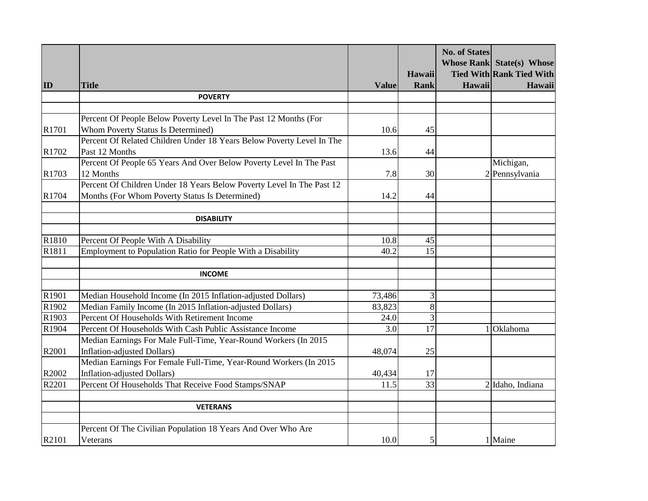|       |                                                                       |              |                 | <b>No. of States</b> | <b>Whose Rank State(s) Whose</b> |
|-------|-----------------------------------------------------------------------|--------------|-----------------|----------------------|----------------------------------|
|       |                                                                       |              | Hawaii          |                      | <b>Tied With Rank Tied With</b>  |
| ID    | <b>Title</b>                                                          | <b>Value</b> | Rank            | Hawaii               | Hawaii                           |
|       | <b>POVERTY</b>                                                        |              |                 |                      |                                  |
|       |                                                                       |              |                 |                      |                                  |
|       | Percent Of People Below Poverty Level In The Past 12 Months (For      |              |                 |                      |                                  |
| R1701 | Whom Poverty Status Is Determined)                                    | 10.6         | 45              |                      |                                  |
|       | Percent Of Related Children Under 18 Years Below Poverty Level In The |              |                 |                      |                                  |
| R1702 | Past 12 Months                                                        | 13.6         | 44              |                      |                                  |
|       | Percent Of People 65 Years And Over Below Poverty Level In The Past   |              |                 |                      | Michigan,                        |
| R1703 | 12 Months                                                             | 7.8          | 30              |                      | 2 Pennsylvania                   |
|       | Percent Of Children Under 18 Years Below Poverty Level In The Past 12 |              |                 |                      |                                  |
| R1704 | Months (For Whom Poverty Status Is Determined)                        | 14.2         | 44              |                      |                                  |
|       |                                                                       |              |                 |                      |                                  |
|       | <b>DISABILITY</b>                                                     |              |                 |                      |                                  |
|       |                                                                       |              |                 |                      |                                  |
| R1810 | Percent Of People With A Disability                                   | 10.8         | 45              |                      |                                  |
| R1811 | Employment to Population Ratio for People With a Disability           | 40.2         | 15              |                      |                                  |
|       |                                                                       |              |                 |                      |                                  |
|       | <b>INCOME</b>                                                         |              |                 |                      |                                  |
|       |                                                                       |              |                 |                      |                                  |
| R1901 | Median Household Income (In 2015 Inflation-adjusted Dollars)          | 73,486       | 3               |                      |                                  |
| R1902 | Median Family Income (In 2015 Inflation-adjusted Dollars)             | 83,823       | 8               |                      |                                  |
| R1903 | Percent Of Households With Retirement Income                          | 24.0         | 3               |                      |                                  |
| R1904 | Percent Of Households With Cash Public Assistance Income              | 3.0          | $\overline{17}$ |                      | 1 Oklahoma                       |
|       | Median Earnings For Male Full-Time, Year-Round Workers (In 2015       |              |                 |                      |                                  |
| R2001 | Inflation-adjusted Dollars)                                           | 48,074       | 25              |                      |                                  |
|       | Median Earnings For Female Full-Time, Year-Round Workers (In 2015     |              |                 |                      |                                  |
| R2002 | <b>Inflation-adjusted Dollars)</b>                                    | 40,434       | 17              |                      |                                  |
| R2201 | Percent Of Households That Receive Food Stamps/SNAP                   | 11.5         | 33              |                      | 2 Idaho, Indiana                 |
|       |                                                                       |              |                 |                      |                                  |
|       | <b>VETERANS</b>                                                       |              |                 |                      |                                  |
|       |                                                                       |              |                 |                      |                                  |
|       | Percent Of The Civilian Population 18 Years And Over Who Are          |              |                 |                      |                                  |
| R2101 | Veterans                                                              | 10.0         | 5               |                      | 1 Maine                          |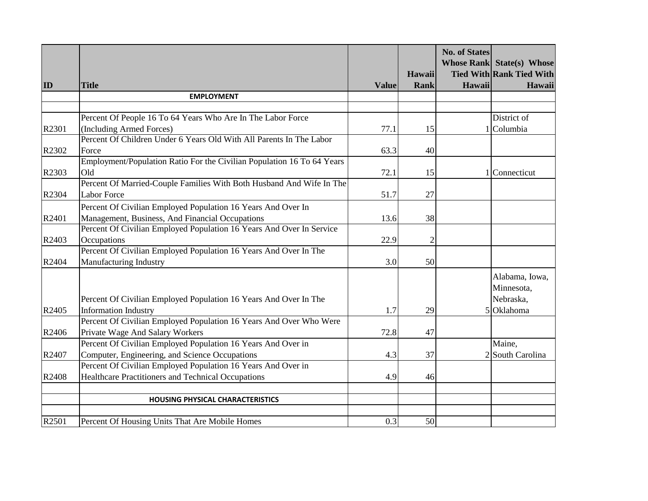| <b>Whose Rank State(s) Whose</b> |
|----------------------------------|
| <b>Tied With Rank Tied With</b>  |
| Hawaii                           |
|                                  |
|                                  |
| District of                      |
| 1 Columbia                       |
|                                  |
|                                  |
|                                  |
| 1 Connecticut                    |
|                                  |
|                                  |
|                                  |
|                                  |
|                                  |
|                                  |
|                                  |
|                                  |
| Alabama, Iowa,                   |
| Minnesota,                       |
| Nebraska,                        |
| Oklahoma                         |
|                                  |
|                                  |
| Maine,                           |
| 2 South Carolina                 |
|                                  |
|                                  |
|                                  |
|                                  |
|                                  |
|                                  |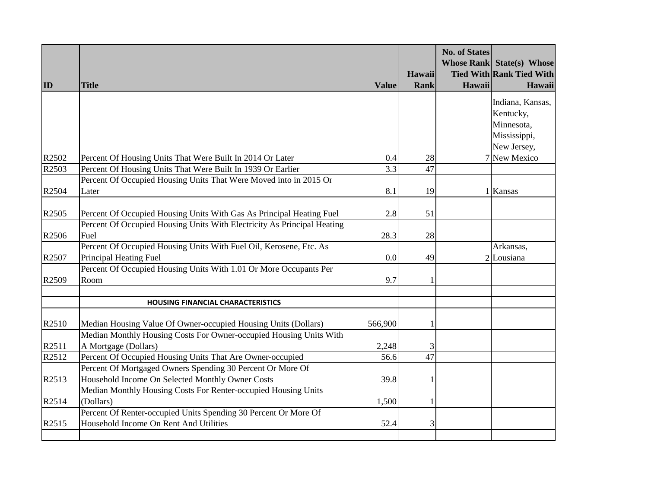|       |                                                                         |              |              | <b>No. of States</b> | <b>Whose Rank State(s) Whose</b> |
|-------|-------------------------------------------------------------------------|--------------|--------------|----------------------|----------------------------------|
|       |                                                                         |              | Hawaii       |                      | <b>Tied With Rank Tied With</b>  |
| ID    | <b>Title</b>                                                            | <b>Value</b> | Rank         | Hawaii               | Hawaii                           |
|       |                                                                         |              |              |                      | Indiana, Kansas,                 |
|       |                                                                         |              |              |                      | Kentucky,                        |
|       |                                                                         |              |              |                      | Minnesota,                       |
|       |                                                                         |              |              |                      | Mississippi,                     |
|       |                                                                         |              |              |                      | New Jersey,                      |
| R2502 | Percent Of Housing Units That Were Built In 2014 Or Later               | 0.4          | 28           |                      | 7 New Mexico                     |
| R2503 | Percent Of Housing Units That Were Built In 1939 Or Earlier             | 3.3          | 47           |                      |                                  |
|       | Percent Of Occupied Housing Units That Were Moved into in 2015 Or       |              |              |                      |                                  |
| R2504 | Later                                                                   | 8.1          | 19           |                      | 1 Kansas                         |
|       |                                                                         |              |              |                      |                                  |
| R2505 | Percent Of Occupied Housing Units With Gas As Principal Heating Fuel    | 2.8          | 51           |                      |                                  |
|       | Percent Of Occupied Housing Units With Electricity As Principal Heating |              |              |                      |                                  |
| R2506 | Fuel                                                                    | 28.3         | 28           |                      |                                  |
|       | Percent Of Occupied Housing Units With Fuel Oil, Kerosene, Etc. As      |              |              |                      | Arkansas,                        |
| R2507 | Principal Heating Fuel                                                  | 0.0          | 49           |                      | 2 Lousiana                       |
|       | Percent Of Occupied Housing Units With 1.01 Or More Occupants Per       |              |              |                      |                                  |
| R2509 | Room                                                                    | 9.7          | $\mathbf{1}$ |                      |                                  |
|       |                                                                         |              |              |                      |                                  |
|       | <b>HOUSING FINANCIAL CHARACTERISTICS</b>                                |              |              |                      |                                  |
| R2510 | Median Housing Value Of Owner-occupied Housing Units (Dollars)          | 566,900      |              |                      |                                  |
|       | Median Monthly Housing Costs For Owner-occupied Housing Units With      |              |              |                      |                                  |
| R2511 | A Mortgage (Dollars)                                                    | 2,248        | 3            |                      |                                  |
| R2512 | Percent Of Occupied Housing Units That Are Owner-occupied               | 56.6         | 47           |                      |                                  |
|       | Percent Of Mortgaged Owners Spending 30 Percent Or More Of              |              |              |                      |                                  |
| R2513 | Household Income On Selected Monthly Owner Costs                        | 39.8         | 1            |                      |                                  |
|       | Median Monthly Housing Costs For Renter-occupied Housing Units          |              |              |                      |                                  |
| R2514 | (Dollars)                                                               | 1,500        |              |                      |                                  |
|       | Percent Of Renter-occupied Units Spending 30 Percent Or More Of         |              |              |                      |                                  |
| R2515 | Household Income On Rent And Utilities                                  | 52.4         | 3            |                      |                                  |
|       |                                                                         |              |              |                      |                                  |